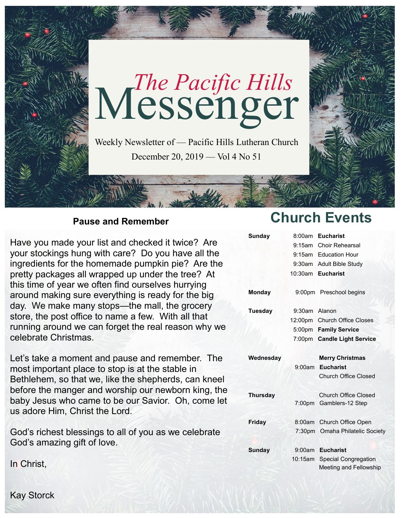

### **Pause and Remember**

Have you made your list and checked it twice? Are your stockings hung with care? Do you have all the ingredients for the homemade pumpkin pie? Are the pretty packages all wrapped up under the tree? At this time of year we often find ourselves hurrying around making sure everything is ready for the big day. We make many stops—the mall, the grocery store, the post office to name a few. With all that running around we can forget the real reason why we celebrate Christmas.

Let's take a moment and pause and remember. The most important place to stop is at the stable in Bethlehem, so that we, like the shepherds, can kneel before the manger and worship our newborn king, the baby Jesus who came to be our Savior. Oh, come let us adore Him, Christ the Lord.

God's richest blessings to all of you as we celebrate God's amazing gift of love.

**Church Events**

| <b>Sunday</b>   |               | 8:00am Eucharist                |
|-----------------|---------------|---------------------------------|
|                 |               | 9:15am Choir Rehearsal          |
|                 |               | 9:15am Education Hour           |
|                 |               | 9:30am Adult Bible Study        |
|                 |               | 10:30am Eucharist               |
| <b>Monday</b>   |               | 9:00pm Preschool begins         |
| Tuesday         | 9:30am Alanon |                                 |
|                 |               | 12:00pm Church Office Closes    |
|                 |               | 5:00pm Family Service           |
|                 |               | 7:00pm Candle Light Service     |
| Wednesday       |               | <b>Merry Christmas</b>          |
|                 | 9:00am        | <b>Eucharist</b>                |
|                 |               | <b>Church Office Closed</b>     |
| <b>Thursday</b> |               | <b>Church Office Closed</b>     |
|                 |               | 7:00pm Gamblers-12 Step         |
|                 |               |                                 |
| Friday          | 8:00am        | Church Office Open              |
|                 |               | 7:30pm Omaha Philatelic Society |
| Sunday          | 9:00am        | <b>Eucharist</b>                |
|                 | 10:15am       | <b>Special Congregation</b>     |

In Christ,